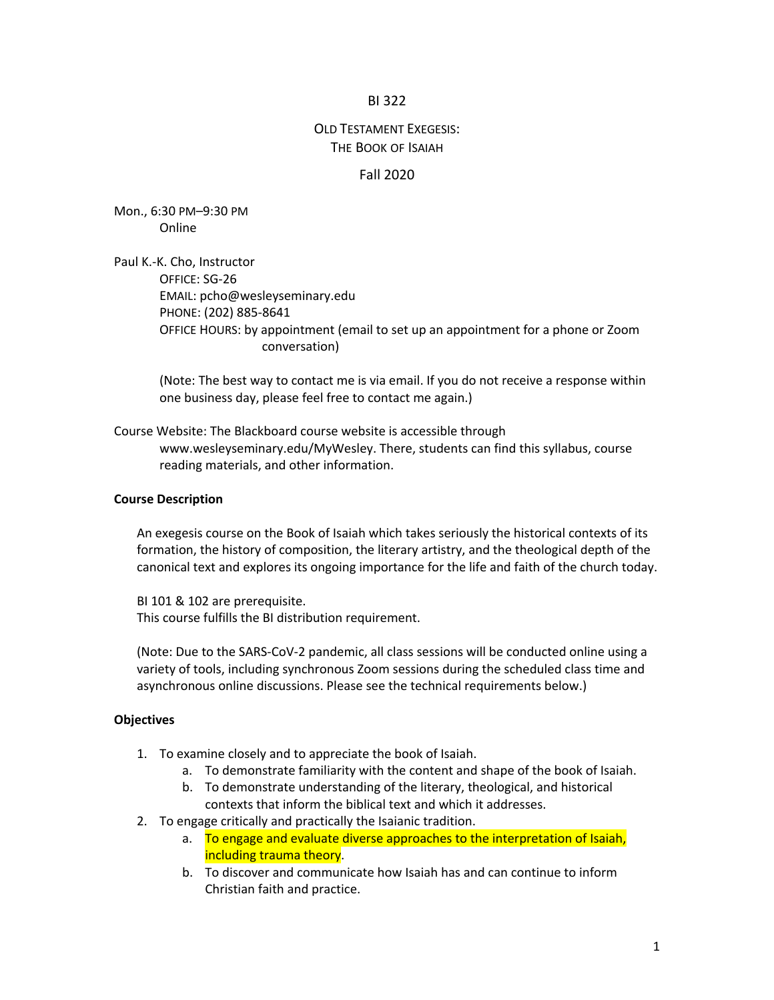### BI 322

# OLD TESTAMENT EXEGESIS: THE BOOK OF ISAIAH

### Fall 2020

Mon., 6:30 PM–9:30 PM Online

Paul K.-K. Cho, Instructor OFFICE: SG-26 EMAIL: pcho@wesleyseminary.edu PHONE: (202) 885-8641 OFFICE HOURS: by appointment (email to set up an appointment for a phone or Zoom conversation)

(Note: The best way to contact me is via email. If you do not receive a response within one business day, please feel free to contact me again.)

Course Website: The Blackboard course website is accessible through www.wesleyseminary.edu/MyWesley. There, students can find this syllabus, course reading materials, and other information.

#### **Course Description**

An exegesis course on the Book of Isaiah which takes seriously the historical contexts of its formation, the history of composition, the literary artistry, and the theological depth of the canonical text and explores its ongoing importance for the life and faith of the church today.

BI 101 & 102 are prerequisite. This course fulfills the BI distribution requirement.

(Note: Due to the SARS-CoV-2 pandemic, all class sessions will be conducted online using a variety of tools, including synchronous Zoom sessions during the scheduled class time and asynchronous online discussions. Please see the technical requirements below.)

#### **Objectives**

- 1. To examine closely and to appreciate the book of Isaiah.
	- a. To demonstrate familiarity with the content and shape of the book of Isaiah.
	- b. To demonstrate understanding of the literary, theological, and historical contexts that inform the biblical text and which it addresses.
- 2. To engage critically and practically the Isaianic tradition.
	- a. To engage and evaluate diverse approaches to the interpretation of Isaiah, including trauma theory.
	- b. To discover and communicate how Isaiah has and can continue to inform Christian faith and practice.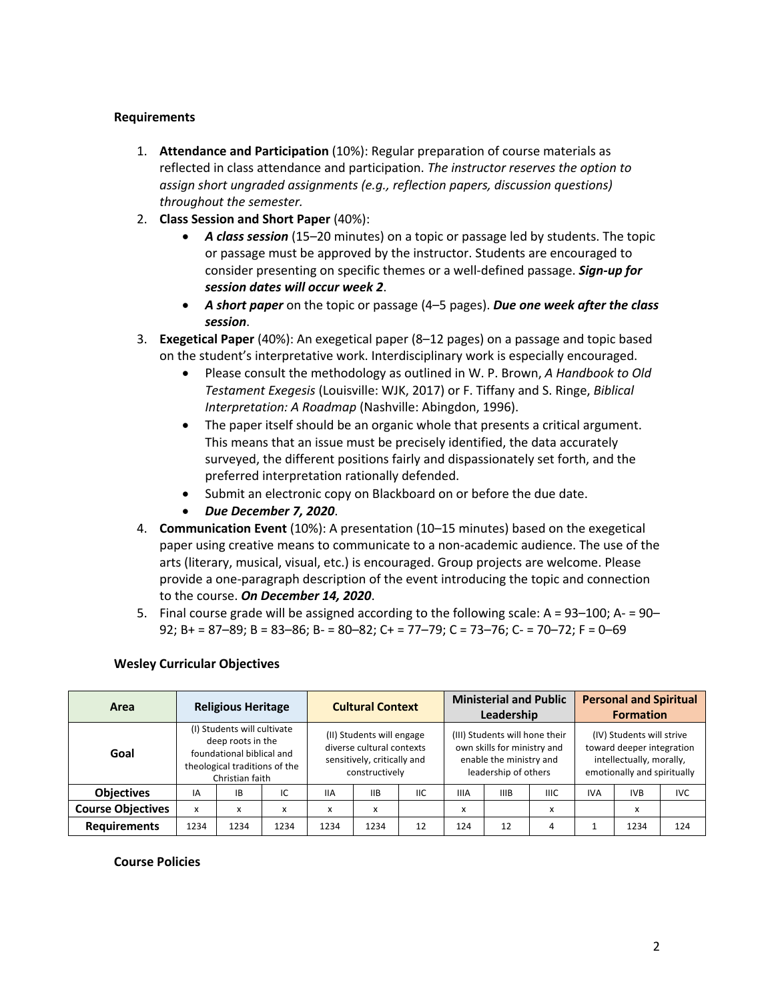### **Requirements**

- 1. **Attendance and Participation** (10%): Regular preparation of course materials as reflected in class attendance and participation. *The instructor reserves the option to assign short ungraded assignments (e.g., reflection papers, discussion questions) throughout the semester.*
- 2. **Class Session and Short Paper** (40%):
	- *A class session* (15–20 minutes) on a topic or passage led by students. The topic or passage must be approved by the instructor. Students are encouraged to consider presenting on specific themes or a well-defined passage. *Sign-up for session dates will occur week 2*.
	- *A short paper* on the topic or passage (4–5 pages). *Due one week after the class session*.
- 3. **Exegetical Paper** (40%): An exegetical paper (8–12 pages) on a passage and topic based on the student's interpretative work. Interdisciplinary work is especially encouraged.
	- Please consult the methodology as outlined in W. P. Brown, *A Handbook to Old Testament Exegesis* (Louisville: WJK, 2017) or F. Tiffany and S. Ringe, *Biblical Interpretation: A Roadmap* (Nashville: Abingdon, 1996).
	- The paper itself should be an organic whole that presents a critical argument. This means that an issue must be precisely identified, the data accurately surveyed, the different positions fairly and dispassionately set forth, and the preferred interpretation rationally defended.
	- Submit an electronic copy on Blackboard on or before the due date.
	- *Due December 7, 2020*.
- 4. **Communication Event** (10%): A presentation (10–15 minutes) based on the exegetical paper using creative means to communicate to a non-academic audience. The use of the arts (literary, musical, visual, etc.) is encouraged. Group projects are welcome. Please provide a one-paragraph description of the event introducing the topic and connection to the course. *On December 14, 2020*.
- 5. Final course grade will be assigned according to the following scale: A = 93–100; A- = 90– 92; B+ = 87–89; B = 83–86; B- = 80–82; C+ = 77–79; C = 73–76; C- = 70–72; F = 0–69

### **Wesley Curricular Objectives**

| Area                     |                                                                                                                                   | <b>Religious Heritage</b> |      |                                                                                                         | <b>Cultural Context</b> |            |                                                                                                                  | <b>Ministerial and Public</b><br>Leadership |                                                                                                                   |            | <b>Personal and Spiritual</b><br><b>Formation</b> |            |
|--------------------------|-----------------------------------------------------------------------------------------------------------------------------------|---------------------------|------|---------------------------------------------------------------------------------------------------------|-------------------------|------------|------------------------------------------------------------------------------------------------------------------|---------------------------------------------|-------------------------------------------------------------------------------------------------------------------|------------|---------------------------------------------------|------------|
| Goal                     | (I) Students will cultivate<br>deep roots in the<br>foundational biblical and<br>theological traditions of the<br>Christian faith |                           |      | (II) Students will engage<br>diverse cultural contexts<br>sensitively, critically and<br>constructively |                         |            | (III) Students will hone their<br>own skills for ministry and<br>enable the ministry and<br>leadership of others |                                             | (IV) Students will strive<br>toward deeper integration<br>intellectually, morally,<br>emotionally and spiritually |            |                                                   |            |
| <b>Objectives</b>        | IA                                                                                                                                | <b>IB</b>                 | IC   | <b>IIA</b>                                                                                              | <b>IIB</b>              | <b>IIC</b> | <b>IIIA</b>                                                                                                      | <b>IIIB</b>                                 | <b>IIIC</b>                                                                                                       | <b>IVA</b> | <b>IVB</b>                                        | <b>IVC</b> |
| <b>Course Objectives</b> | x                                                                                                                                 | x                         | X    | X                                                                                                       | X                       |            | X                                                                                                                |                                             | X                                                                                                                 |            | X                                                 |            |
| <b>Requirements</b>      | 1234                                                                                                                              | 1234                      | 1234 | 1234                                                                                                    | 1234                    | 12         | 124                                                                                                              | 12                                          | 4                                                                                                                 |            | 1234                                              | 124        |

### **Course Policies**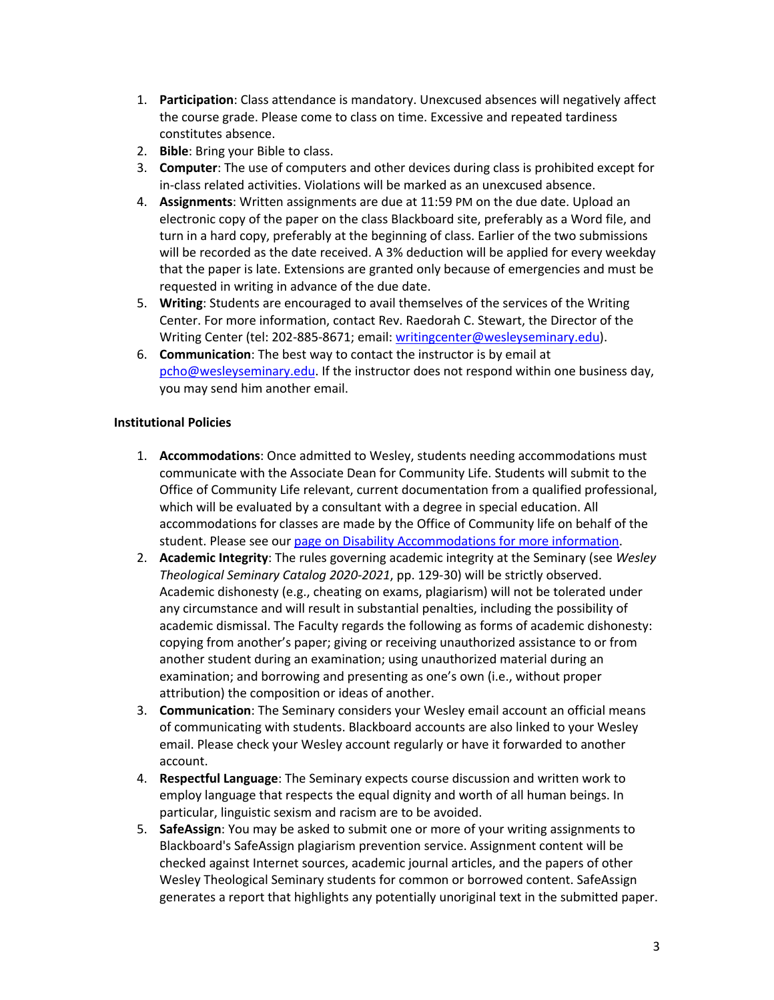- 1. **Participation**: Class attendance is mandatory. Unexcused absences will negatively affect the course grade. Please come to class on time. Excessive and repeated tardiness constitutes absence.
- 2. **Bible**: Bring your Bible to class.
- 3. **Computer**: The use of computers and other devices during class is prohibited except for in-class related activities. Violations will be marked as an unexcused absence.
- 4. **Assignments**: Written assignments are due at 11:59 PM on the due date. Upload an electronic copy of the paper on the class Blackboard site, preferably as a Word file, and turn in a hard copy, preferably at the beginning of class. Earlier of the two submissions will be recorded as the date received. A 3% deduction will be applied for every weekday that the paper is late. Extensions are granted only because of emergencies and must be requested in writing in advance of the due date.
- 5. **Writing**: Students are encouraged to avail themselves of the services of the Writing Center. For more information, contact Rev. Raedorah C. Stewart, the Director of the Writing Center (tel: 202-885-8671; email: writingcenter@wesleyseminary.edu).
- 6. **Communication**: The best way to contact the instructor is by email at pcho@wesleyseminary.edu. If the instructor does not respond within one business day, you may send him another email.

## **Institutional Policies**

- 1. **Accommodations**: Once admitted to Wesley, students needing accommodations must communicate with the Associate Dean for Community Life. Students will submit to the Office of Community Life relevant, current documentation from a qualified professional, which will be evaluated by a consultant with a degree in special education. All accommodations for classes are made by the Office of Community life on behalf of the student. Please see our page on Disability Accommodations for more information.
- 2. **Academic Integrity**: The rules governing academic integrity at the Seminary (see *Wesley Theological Seminary Catalog 2020-2021*, pp. 129-30) will be strictly observed. Academic dishonesty (e.g., cheating on exams, plagiarism) will not be tolerated under any circumstance and will result in substantial penalties, including the possibility of academic dismissal. The Faculty regards the following as forms of academic dishonesty: copying from another's paper; giving or receiving unauthorized assistance to or from another student during an examination; using unauthorized material during an examination; and borrowing and presenting as one's own (i.e., without proper attribution) the composition or ideas of another.
- 3. **Communication**: The Seminary considers your Wesley email account an official means of communicating with students. Blackboard accounts are also linked to your Wesley email. Please check your Wesley account regularly or have it forwarded to another account.
- 4. **Respectful Language**: The Seminary expects course discussion and written work to employ language that respects the equal dignity and worth of all human beings. In particular, linguistic sexism and racism are to be avoided.
- 5. **SafeAssign**: You may be asked to submit one or more of your writing assignments to Blackboard's SafeAssign plagiarism prevention service. Assignment content will be checked against Internet sources, academic journal articles, and the papers of other Wesley Theological Seminary students for common or borrowed content. SafeAssign generates a report that highlights any potentially unoriginal text in the submitted paper.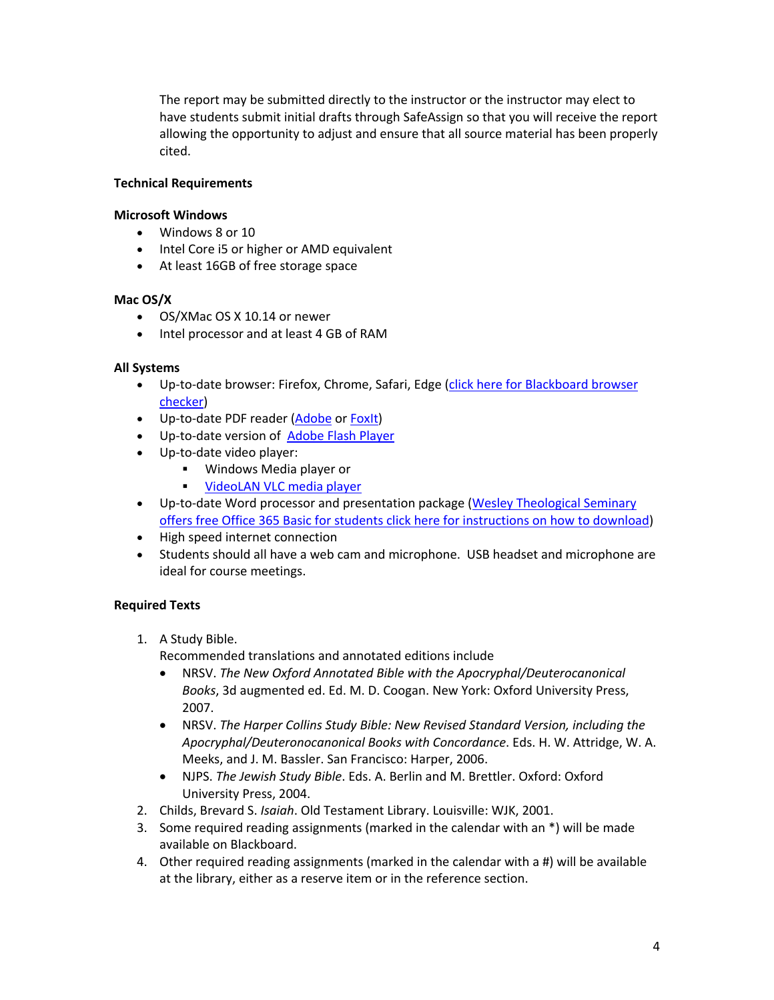The report may be submitted directly to the instructor or the instructor may elect to have students submit initial drafts through SafeAssign so that you will receive the report allowing the opportunity to adjust and ensure that all source material has been properly cited.

### **Technical Requirements**

### **Microsoft Windows**

- Windows 8 or 10
- Intel Core i5 or higher or AMD equivalent
- At least 16GB of free storage space

### **Mac OS/X**

- OS/XMac OS X 10.14 or newer
- Intel processor and at least 4 GB of RAM

### **All Systems**

- Up-to-date browser: Firefox, Chrome, Safari, Edge (click here for Blackboard browser checker)
- Up-to-date PDF reader (Adobe or Foxit)
- Up-to-date version of Adobe Flash Player
- Up-to-date video player:
	- § Windows Media player or
	- **VideoLAN VLC media player**
- Up-to-date Word processor and presentation package (Wesley Theological Seminary offers free Office 365 Basic for students click here for instructions on how to download)
- High speed internet connection
- Students should all have a web cam and microphone. USB headset and microphone are ideal for course meetings.

### **Required Texts**

1. A Study Bible.

Recommended translations and annotated editions include

- NRSV. *The New Oxford Annotated Bible with the Apocryphal/Deuterocanonical Books*, 3d augmented ed. Ed. M. D. Coogan. New York: Oxford University Press, 2007.
- NRSV. *The Harper Collins Study Bible: New Revised Standard Version, including the Apocryphal/Deuteronocanonical Books with Concordance*. Eds. H. W. Attridge, W. A. Meeks, and J. M. Bassler. San Francisco: Harper, 2006.
- NJPS. *The Jewish Study Bible*. Eds. A. Berlin and M. Brettler. Oxford: Oxford University Press, 2004.
- 2. Childs, Brevard S. *Isaiah*. Old Testament Library. Louisville: WJK, 2001.
- 3. Some required reading assignments (marked in the calendar with an \*) will be made available on Blackboard.
- 4. Other required reading assignments (marked in the calendar with a #) will be available at the library, either as a reserve item or in the reference section.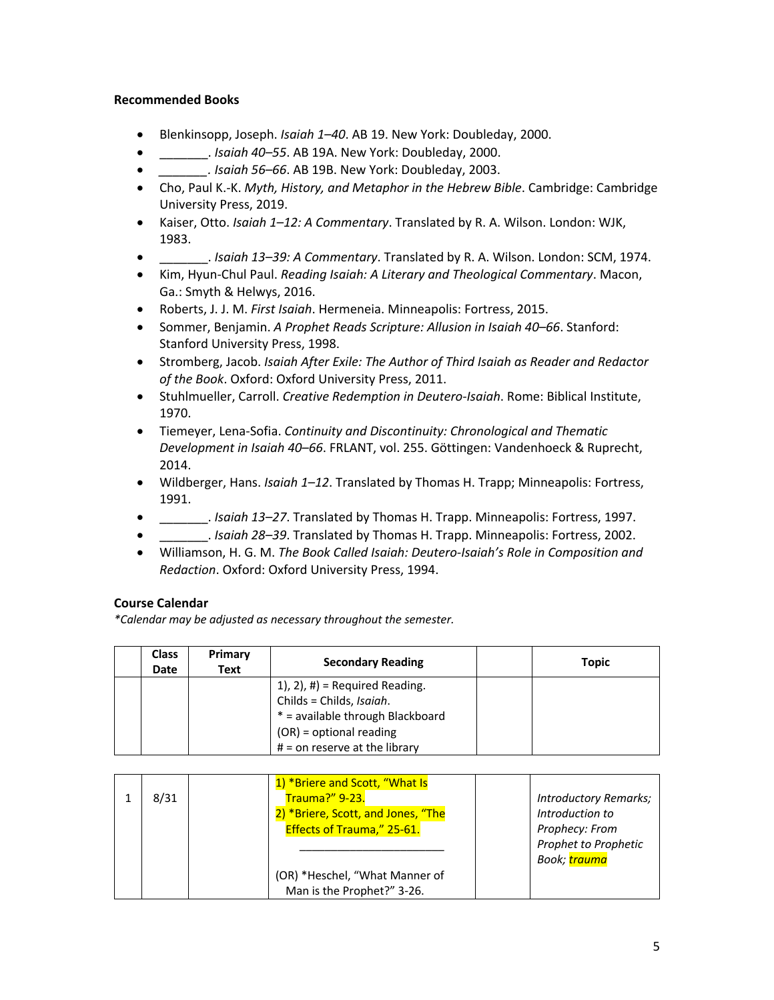### **Recommended Books**

- Blenkinsopp, Joseph. *Isaiah 1–40*. AB 19. New York: Doubleday, 2000.
- \_\_\_\_\_\_\_. *Isaiah 40–55*. AB 19A. New York: Doubleday, 2000.
- *\_\_\_\_\_\_\_. Isaiah 56–66*. AB 19B. New York: Doubleday, 2003.
- Cho, Paul K.-K. *Myth, History, and Metaphor in the Hebrew Bible*. Cambridge: Cambridge University Press, 2019.
- Kaiser, Otto. *Isaiah 1–12: A Commentary*. Translated by R. A. Wilson. London: WJK, 1983.
- \_\_\_\_\_\_\_. *Isaiah 13–39: A Commentary*. Translated by R. A. Wilson. London: SCM, 1974.
- Kim, Hyun-Chul Paul. *Reading Isaiah: A Literary and Theological Commentary*. Macon, Ga.: Smyth & Helwys, 2016.
- Roberts, J. J. M. *First Isaiah*. Hermeneia. Minneapolis: Fortress, 2015.
- Sommer, Benjamin. *A Prophet Reads Scripture: Allusion in Isaiah 40–66*. Stanford: Stanford University Press, 1998.
- Stromberg, Jacob. *Isaiah After Exile: The Author of Third Isaiah as Reader and Redactor of the Book*. Oxford: Oxford University Press, 2011.
- Stuhlmueller, Carroll. *Creative Redemption in Deutero-Isaiah*. Rome: Biblical Institute, 1970.
- Tiemeyer, Lena-Sofia. *Continuity and Discontinuity: Chronological and Thematic Development in Isaiah 40–66*. FRLANT, vol. 255. Göttingen: Vandenhoeck & Ruprecht, 2014.
- Wildberger, Hans. *Isaiah 1–12*. Translated by Thomas H. Trapp; Minneapolis: Fortress, 1991.
- \_\_\_\_\_\_\_. *Isaiah 13–27*. Translated by Thomas H. Trapp. Minneapolis: Fortress, 1997.
- \_\_\_\_\_\_\_. *Isaiah 28–39*. Translated by Thomas H. Trapp. Minneapolis: Fortress, 2002.
- Williamson, H. G. M. *The Book Called Isaiah: Deutero-Isaiah's Role in Composition and Redaction*. Oxford: Oxford University Press, 1994.

# **Course Calendar**

*\*Calendar may be adjusted as necessary throughout the semester.*

| <b>Class</b><br>Date | Primary<br>Text | <b>Secondary Reading</b>         | Topic |
|----------------------|-----------------|----------------------------------|-------|
|                      |                 | $1$ , 2), #) = Required Reading. |       |
|                      |                 | Childs = Childs, Isaiah.         |       |
|                      |                 | * = available through Blackboard |       |
|                      |                 | $(OR)$ = optional reading        |       |
|                      |                 | $#$ = on reserve at the library  |       |

| 8/31 | 1) *Briere and Scott, "What Is<br>Trauma?" 9-23.<br>2) *Briere, Scott, and Jones, "The<br>Effects of Trauma," 25-61. | Introductory Remarks;<br>Introduction to<br>Prophecy: From<br>Prophet to Prophetic |
|------|----------------------------------------------------------------------------------------------------------------------|------------------------------------------------------------------------------------|
|      | (OR) *Heschel, "What Manner of<br>Man is the Prophet?" 3-26.                                                         | Book; <mark>trauma</mark>                                                          |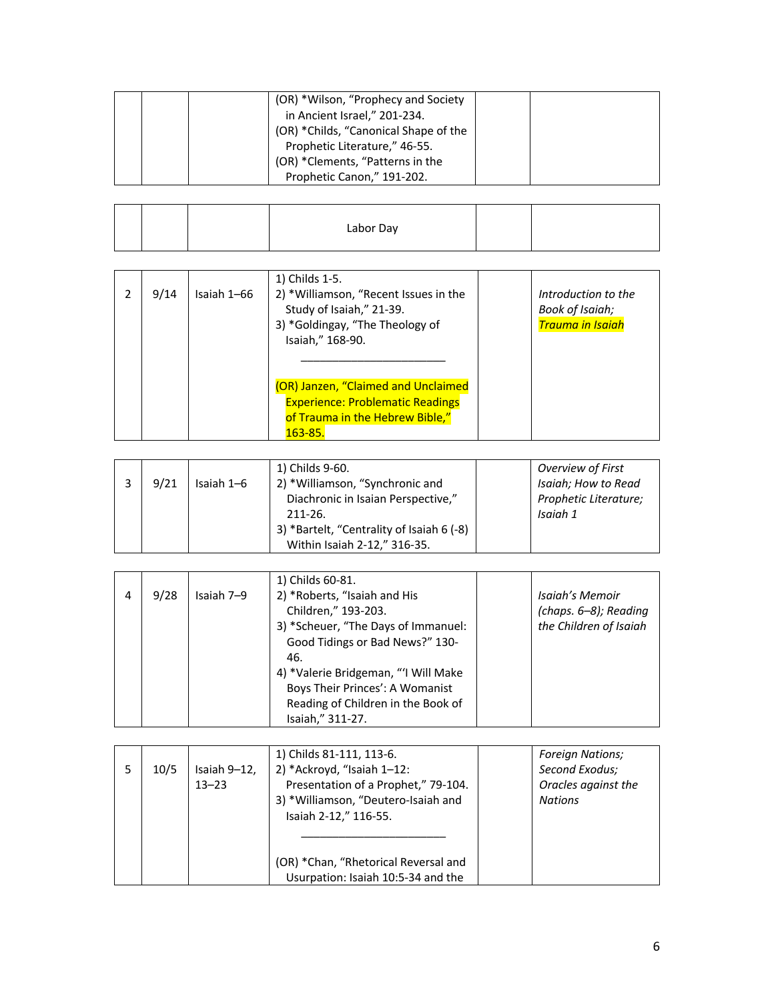|  | (OR) *Wilson, "Prophecy and Society   |  |
|--|---------------------------------------|--|
|  | in Ancient Israel," 201-234.          |  |
|  | (OR) *Childs, "Canonical Shape of the |  |
|  | Prophetic Literature," 46-55.         |  |
|  | (OR) *Clements, "Patterns in the      |  |
|  | Prophetic Canon," 191-202.            |  |

| Labor Day |  |
|-----------|--|
|-----------|--|

| 9/14 | Isaiah 1-66 | 1) Childs 1-5.<br>2) *Williamson, "Recent Issues in the<br>Study of Isaiah," 21-39.<br>3) *Goldingay, "The Theology of<br>Isaiah," 168-90. | Introduction to the<br>Book of Isaiah;<br><b>Trauma in Isaiah</b> |
|------|-------------|--------------------------------------------------------------------------------------------------------------------------------------------|-------------------------------------------------------------------|
|      |             | (OR) Janzen, "Claimed and Unclaimed<br><b>Experience: Problematic Readings</b><br>of Trauma in the Hebrew Bible,"<br>163-85.               |                                                                   |

|      |            | 1) Childs 9-60.                           | Overview of First     |
|------|------------|-------------------------------------------|-----------------------|
| 9/21 | Isaiah 1-6 | 2) *Williamson, "Synchronic and           | Isaiah; How to Read   |
|      |            | Diachronic in Isaian Perspective,"        | Prophetic Literature; |
|      |            | $211 - 26$                                | Isaiah 1              |
|      |            | 3) *Bartelt, "Centrality of Isaiah 6 (-8) |                       |
|      |            | Within Isaiah 2-12," 316-35.              |                       |

|   |      |            | 1) Childs 60-81.                     |                        |
|---|------|------------|--------------------------------------|------------------------|
| 4 | 9/28 | Isaiah 7–9 | 2) *Roberts, "Isaiah and His         | Isaiah's Memoir        |
|   |      |            | Children," 193-203.                  | (chaps. 6-8); Reading  |
|   |      |            | 3) *Scheuer, "The Days of Immanuel:  | the Children of Isaiah |
|   |      |            | Good Tidings or Bad News?" 130-      |                        |
|   |      |            | 46.                                  |                        |
|   |      |            | 4) *Valerie Bridgeman, "'I Will Make |                        |
|   |      |            | Boys Their Princes': A Womanist      |                        |
|   |      |            | Reading of Children in the Book of   |                        |
|   |      |            | Isaiah," 311-27.                     |                        |

|      |              | 1) Childs 81-111, 113-6.             | <b>Foreign Nations:</b> |
|------|--------------|--------------------------------------|-------------------------|
| 10/5 | Isaiah 9–12, | 2) *Ackroyd, "Isaiah 1-12:           | Second Exodus;          |
|      | $13 - 23$    | Presentation of a Prophet," 79-104.  | Oracles against the     |
|      |              | 3) *Williamson, "Deutero-Isaiah and  | <b>Nations</b>          |
|      |              | Isaiah 2-12," 116-55.                |                         |
|      |              |                                      |                         |
|      |              |                                      |                         |
|      |              | (OR) *Chan, "Rhetorical Reversal and |                         |
|      |              | Usurpation: Isaiah 10:5-34 and the   |                         |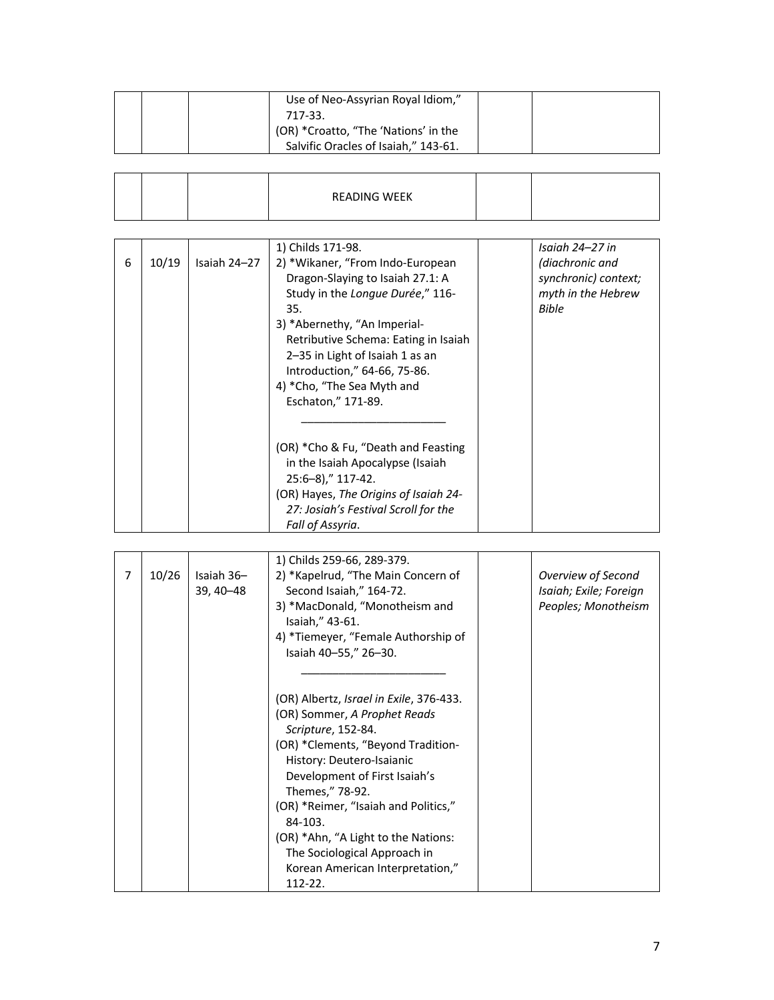| Use of Neo-Assyrian Royal Idiom,"<br>717-33.                                 |  |
|------------------------------------------------------------------------------|--|
| (OR) *Croatto, "The 'Nations' in the<br>Salvific Oracles of Isaiah," 143-61. |  |

|  |  | READING WEEK |  |
|--|--|--------------|--|
|  |  |              |  |

|   |       |              | 1) Childs 171-98.                     | Isaiah 24–27 in      |
|---|-------|--------------|---------------------------------------|----------------------|
| 6 | 10/19 | Isaiah 24-27 | 2) *Wikaner, "From Indo-European      | (diachronic and      |
|   |       |              | Dragon-Slaying to Isaiah 27.1: A      | synchronic) context; |
|   |       |              | Study in the Longue Durée," 116-      | myth in the Hebrew   |
|   |       |              | 35.                                   | <b>Bible</b>         |
|   |       |              | 3) *Abernethy, "An Imperial-          |                      |
|   |       |              | Retributive Schema: Eating in Isaiah  |                      |
|   |       |              | 2–35 in Light of Isaiah 1 as an       |                      |
|   |       |              | Introduction," 64-66, 75-86.          |                      |
|   |       |              | 4) *Cho, "The Sea Myth and            |                      |
|   |       |              | Eschaton," 171-89.                    |                      |
|   |       |              |                                       |                      |
|   |       |              |                                       |                      |
|   |       |              | (OR) *Cho & Fu, "Death and Feasting   |                      |
|   |       |              | in the Isaiah Apocalypse (Isaiah      |                      |
|   |       |              | $25:6-8$ ," 117-42.                   |                      |
|   |       |              | (OR) Hayes, The Origins of Isaiah 24- |                      |
|   |       |              | 27: Josiah's Festival Scroll for the  |                      |
|   |       |              | Fall of Assyria.                      |                      |

|   |       |             | 1) Childs 259-66, 289-379.              |                        |
|---|-------|-------------|-----------------------------------------|------------------------|
| 7 | 10/26 | Isaiah 36-  | 2) *Kapelrud, "The Main Concern of      | Overview of Second     |
|   |       | 39, 40 - 48 | Second Isaiah," 164-72.                 | Isaiah; Exile; Foreign |
|   |       |             | 3) *MacDonald, "Monotheism and          | Peoples; Monotheism    |
|   |       |             | Isaiah," 43-61.                         |                        |
|   |       |             | 4) *Tiemeyer, "Female Authorship of     |                        |
|   |       |             | Isaiah 40-55," 26-30.                   |                        |
|   |       |             |                                         |                        |
|   |       |             |                                         |                        |
|   |       |             | (OR) Albertz, Israel in Exile, 376-433. |                        |
|   |       |             | (OR) Sommer, A Prophet Reads            |                        |
|   |       |             | Scripture, 152-84.                      |                        |
|   |       |             | (OR) *Clements, "Beyond Tradition-      |                        |
|   |       |             | History: Deutero-Isaianic               |                        |
|   |       |             | Development of First Isaiah's           |                        |
|   |       |             | Themes," 78-92.                         |                        |
|   |       |             | (OR) *Reimer, "Isaiah and Politics,"    |                        |
|   |       |             | 84-103.                                 |                        |
|   |       |             | (OR) *Ahn, "A Light to the Nations:     |                        |
|   |       |             | The Sociological Approach in            |                        |
|   |       |             | Korean American Interpretation,"        |                        |
|   |       |             | 112-22.                                 |                        |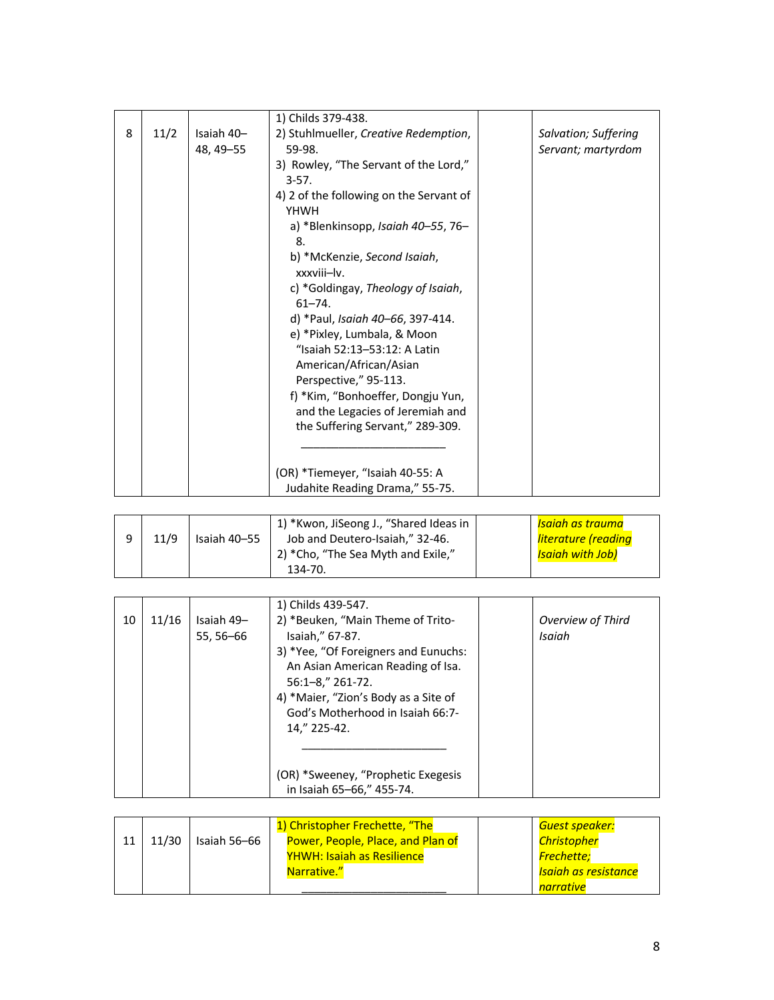|   |      |            | 1) Childs 379-438.                      |                      |
|---|------|------------|-----------------------------------------|----------------------|
| 8 | 11/2 | Isaiah 40- | 2) Stuhlmueller, Creative Redemption,   | Salvation; Suffering |
|   |      | 48, 49–55  | 59-98.                                  | Servant; martyrdom   |
|   |      |            | 3) Rowley, "The Servant of the Lord,"   |                      |
|   |      |            | $3-57.$                                 |                      |
|   |      |            | 4) 2 of the following on the Servant of |                      |
|   |      |            | YHWH                                    |                      |
|   |      |            | a) *Blenkinsopp, Isaiah 40-55, 76-      |                      |
|   |      |            | 8.                                      |                      |
|   |      |            | b) *McKenzie, Second Isaiah,            |                      |
|   |      |            | xxxviii-lv.                             |                      |
|   |      |            | c) *Goldingay, Theology of Isaiah,      |                      |
|   |      |            | $61 - 74$ .                             |                      |
|   |      |            | d) *Paul, Isaiah 40–66, 397-414.        |                      |
|   |      |            | e) *Pixley, Lumbala, & Moon             |                      |
|   |      |            | "Isaiah 52:13-53:12: A Latin            |                      |
|   |      |            | American/African/Asian                  |                      |
|   |      |            | Perspective," 95-113.                   |                      |
|   |      |            | f) *Kim, "Bonhoeffer, Dongju Yun,       |                      |
|   |      |            | and the Legacies of Jeremiah and        |                      |
|   |      |            | the Suffering Servant," 289-309.        |                      |
|   |      |            |                                         |                      |
|   |      |            |                                         |                      |
|   |      |            | (OR) *Tiemeyer, "Isaiah 40-55: A        |                      |
|   |      |            | Judahite Reading Drama," 55-75.         |                      |

|      |              | 1) *Kwon, JiSeong J., "Shared Ideas in | <mark>Isaiah as trauma</mark> |
|------|--------------|----------------------------------------|-------------------------------|
| 11/9 | Isaiah 40-55 | Job and Deutero-Isaiah," 32-46.        | <u>literature (reading</u>    |
|      |              | 2) *Cho, "The Sea Myth and Exile,"     | <mark>Isaiah with Job)</mark> |
|      |              | 134-70.                                |                               |

|    |       |            | 1) Childs 439-547.                   |                   |
|----|-------|------------|--------------------------------------|-------------------|
| 10 | 11/16 | Isaiah 49- | 2) *Beuken, "Main Theme of Trito-    | Overview of Third |
|    |       | 55, 56–66  | Isaiah," 67-87.                      | Isaiah            |
|    |       |            | 3) *Yee, "Of Foreigners and Eunuchs: |                   |
|    |       |            | An Asian American Reading of Isa.    |                   |
|    |       |            | $56:1 - 8$ ," 261-72.                |                   |
|    |       |            | 4) *Maier, "Zion's Body as a Site of |                   |
|    |       |            | God's Motherhood in Isaiah 66:7-     |                   |
|    |       |            | 14," 225-42.                         |                   |
|    |       |            |                                      |                   |
|    |       |            |                                      |                   |
|    |       |            | (OR) *Sweeney, "Prophetic Exegesis   |                   |
|    |       |            | in Isaiah 65-66," 455-74.            |                   |

|       |              | 1) Christopher Frechette, "The    | Guest speaker:                    |
|-------|--------------|-----------------------------------|-----------------------------------|
| 11/30 | Isaiah 56-66 | Power, People, Place, and Plan of | <b>Christopher</b>                |
|       |              | <b>YHWH: Isaiah as Resilience</b> | Frechette;                        |
|       |              | Narrative."                       | <mark>Isaiah as resistance</mark> |
|       |              |                                   | narrative                         |